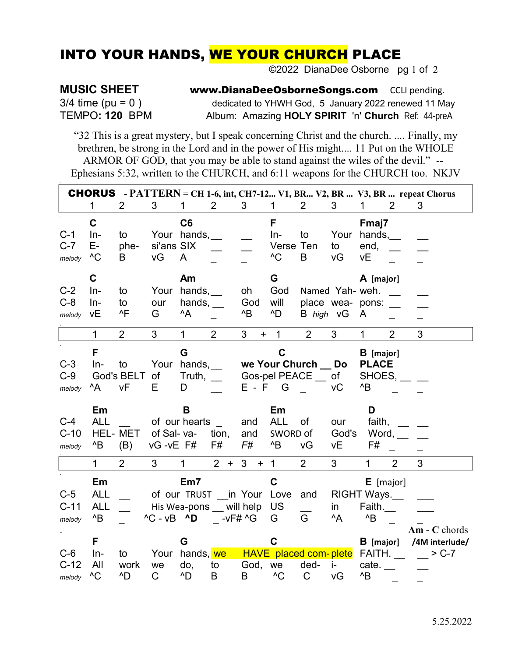## **INTO YOUR HANDS, WE YOUR CHURCH PLACE**

©2022 DianaDee Osborne pg 1 of 2

## **MUSIC SHEET**

 $3/4$  time (pu = 0) TEMPO: 120 BPM www.DianaDeeOsborneSongs.com CCLI pending. dedicated to YHWH God, 5 January 2022 renewed 11 May Album: Amazing HOLY SPIRIT 'n' Church Ref: 44-preA

"32 This is a great mystery, but I speak concerning Christ and the church. .... Finally, my brethren, be strong in the Lord and in the power of His might.... 11 Put on the WHOLE ARMOR OF GOD, that you may be able to stand against the wiles of the devil." --Ephesians 5:32, written to the CHURCH, and 6:11 weapons for the CHURCH too. NKJV

|                                                       | <b>CHORUS</b> - $PATTERN = CH 1-6$ , int, CH7-12 V1, BR V2, BR  V3, BR  repeat Chorus |                                          |                                       |                                                            |                |                               |                                                   |                                                     |                          |                                                                                          |                |                           |
|-------------------------------------------------------|---------------------------------------------------------------------------------------|------------------------------------------|---------------------------------------|------------------------------------------------------------|----------------|-------------------------------|---------------------------------------------------|-----------------------------------------------------|--------------------------|------------------------------------------------------------------------------------------|----------------|---------------------------|
|                                                       | 1                                                                                     | 2                                        | 3                                     | 1.                                                         | 2              | 3 <sup>1</sup>                | $\mathbf{1}$                                      | 2                                                   | 3                        | 1.                                                                                       | 2              | 3                         |
| $C-1$<br>$C-7$<br>melody                              | $\mathbf C$<br>$In-$<br>Е-<br>$^{\wedge}C$                                            | to<br>phe-<br>B                          | si'ans SIX<br>vG                      | C6<br>Your hands,<br>A                                     |                |                               | F<br>$In-$<br>Verse Ten<br>$^{\wedge}C$           | to<br>B                                             | to<br>vG                 | Fmaj7<br>Your hands,<br>end,<br>νE                                                       |                |                           |
| $C-2$<br>$C-8$<br>melody                              | C<br>$In-$<br>$In-$<br>vE                                                             | to<br>to<br>$^{\wedge}$ F                | Your<br>our<br>G                      | Am<br>hands,<br>hands,<br>$^{\wedge}$ A                    |                | oh<br>God<br>$^{\wedge}B$     | G<br>God<br>will<br>^D                            | Named Yah- weh.<br>place wea- pons:<br>B high vG    |                          | A [major]<br>$\mathsf{A}$                                                                |                |                           |
|                                                       | 1                                                                                     | $\overline{2}$                           | 3                                     | $\mathbf{1}$                                               | $\overline{2}$ | 3 <sup>1</sup><br>$\ddot{}$   | $\mathbf{1}$                                      | $\overline{2}$                                      | $\mathfrak{S}$           | $\mathbf{1}$                                                                             | $\overline{2}$ | 3                         |
| $C-3$<br>$C-9$<br>melody<br>$C-4$<br>$C-10$<br>melody | F<br>$In-$<br>^A<br>Em<br><b>ALL</b><br>$^{\prime}$ B                                 | to<br>God's BELT<br>vF<br>HEL-MET<br>(B) | 0f<br>E<br>of Sal-va-<br>$vG - vE$ F# | G<br>Your hands,<br>Truth,<br>D<br>B<br>of our hearts      | tion,<br>F#    | $E - F$ G<br>and<br>and<br>F# | C<br>Em<br><b>ALL</b><br>SWORD of<br>$^{\wedge}B$ | we Your Church Do<br>Gos-pel PEACE _ of<br>Οf<br>vG | vC<br>our<br>God's<br>νE | <b>B</b> [major]<br><b>PLACE</b><br>SHOES,<br>$^{\wedge}B$<br>D<br>faith,<br>Word,<br>F# |                |                           |
|                                                       | $\mathbf{1}$                                                                          | $\overline{2}$                           | 3                                     | 1                                                          | $2 +$          | 3 <sup>1</sup><br>$+ 1$       |                                                   | $\overline{2}$                                      | 3                        | $\mathbf{1}$                                                                             | $\overline{2}$ | 3                         |
| $C-5$<br>$C-11$<br>melody                             | Em<br><b>ALL</b><br><b>ALL</b><br>$^{\prime}$ B                                       |                                          | $^{\wedge}$ C - vB $^{\wedge}$ D      | Em7<br>of our TRUST in Your Love<br>His Wea-pons will help | $-$ -vF# ^G    |                               | $\mathbf C$<br><b>US</b><br>G                     | and<br>G                                            | in<br>$^{\wedge}$ A      | $E$ [major]<br>RIGHT Ways.<br>Faith.<br>$^{\wedge}B$                                     |                | $Am - C$ chords           |
| $C-6$<br>$C-12$<br>melody                             | F<br>$In-$<br>All<br>$^{\wedge}C$                                                     | to<br>work<br>^D                         | Your<br>we<br>C                       | G<br>hands, we<br>do,<br>^D                                | to<br>B        | God, we<br>B                  | C<br>$^{\wedge}C$                                 | HAVE placed com-plete<br>ded-<br>$\mathsf C$        | $\mathbf{i}$<br>vG       | $B$ [major]<br>FAITH.<br>cate.<br>$^{\wedge}B$                                           |                | /4M interlude/<br>$> C-7$ |